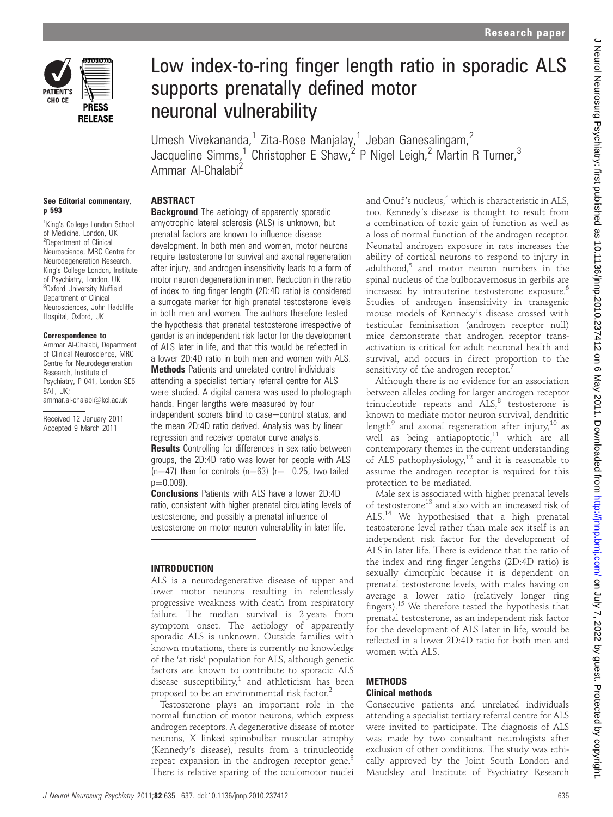

p 593

# Low index-to-ring finger length ratio in sporadic ALS supports prenatally defined motor neuronal vulnerability

Umesh Vivekananda,<sup>1</sup> Zita-Rose Manjalay,<sup>1</sup> Jeban Ganesalingam,<sup>2</sup> Jacqueline Simms,<sup>1</sup> Christopher E Shaw,<sup>2</sup> P Nigel Leigh,<sup>2</sup> Martin R Turner,<sup>3</sup> Ammar Al-Chalabi<sup>2</sup>

# See Editorial commentary,

<sup>1</sup>King's College London School of Medicine, London, UK <sup>2</sup>Department of Clinical Neuroscience, MRC Centre for Neurodegeneration Research, King's College London, Institute of Psychiatry, London, UK <sup>3</sup>Oxford University Nuffield Department of Clinical Neurosciences, John Radcliffe Hospital, Oxford, UK

#### Correspondence to

Ammar Al-Chalabi, Department of Clinical Neuroscience, MRC Centre for Neurodegeneration Research, Institute of Psychiatry, P 041, London SE5 8AF, UK; ammar.al-chalabi@kcl.ac.uk

Received 12 January 2011 Accepted 9 March 2011

# ABSTRACT

**Background** The aetiology of apparently sporadic amyotrophic lateral sclerosis (ALS) is unknown, but prenatal factors are known to influence disease development. In both men and women, motor neurons require testosterone for survival and axonal regeneration after injury, and androgen insensitivity leads to a form of motor neuron degeneration in men. Reduction in the ratio of index to ring finger length (2D:4D ratio) is considered a surrogate marker for high prenatal testosterone levels in both men and women. The authors therefore tested the hypothesis that prenatal testosterone irrespective of gender is an independent risk factor for the development of ALS later in life, and that this would be reflected in a lower 2D:4D ratio in both men and women with ALS. Methods Patients and unrelated control individuals

attending a specialist tertiary referral centre for ALS were studied. A digital camera was used to photograph hands. Finger lengths were measured by four

independent scorers blind to case-control status, and the mean 2D:4D ratio derived. Analysis was by linear regression and receiver-operator-curve analysis.

**Results** Controlling for differences in sex ratio between groups, the 2D:4D ratio was lower for people with ALS  $(n=47)$  than for controls  $(n=63)$   $(r=-0.25$ , two-tailed  $p=0.009$ ).

Conclusions Patients with ALS have a lower 2D:4D ratio, consistent with higher prenatal circulating levels of testosterone, and possibly a prenatal influence of testosterone on motor-neuron vulnerability in later life.

## INTRODUCTION

ALS is a neurodegenerative disease of upper and lower motor neurons resulting in relentlessly progressive weakness with death from respiratory failure. The median survival is 2 years from symptom onset. The aetiology of apparently sporadic ALS is unknown. Outside families with known mutations, there is currently no knowledge of the 'at risk' population for ALS, although genetic factors are known to contribute to sporadic ALS disease susceptibility,<sup>1</sup> and athleticism has been proposed to be an environmental risk factor.<sup>2</sup>

Testosterone plays an important role in the normal function of motor neurons, which express androgen receptors. A degenerative disease of motor neurons, X linked spinobulbar muscular atrophy (Kennedy's disease), results from a trinucleotide repeat expansion in the androgen receptor gene. $3$ There is relative sparing of the oculomotor nuclei

and Onuf's nucleus,<sup>4</sup> which is characteristic in ALS, too. Kennedy's disease is thought to result from a combination of toxic gain of function as well as a loss of normal function of the androgen receptor. Neonatal androgen exposure in rats increases the ability of cortical neurons to respond to injury in adulthood, $5$  and motor neuron numbers in the spinal nucleus of the bulbocavernosus in gerbils are increased by intrauterine testosterone exposure.<sup>6</sup> Studies of androgen insensitivity in transgenic mouse models of Kennedy's disease crossed with testicular feminisation (androgen receptor null) mice demonstrate that androgen receptor transactivation is critical for adult neuronal health and survival, and occurs in direct proportion to the sensitivity of the androgen receptor.<sup>7</sup>

Although there is no evidence for an association between alleles coding for larger androgen receptor trinucleotide repeats and  $ALS$ ,<sup>8</sup> testosterone is known to mediate motor neuron survival, dendritic length<sup>9</sup> and axonal regeneration after injury,<sup>10</sup> as well as being antiapoptotic, $11$  which are all contemporary themes in the current understanding of ALS pathophysiology,<sup>12</sup> and it is reasonable to assume the androgen receptor is required for this protection to be mediated.

Male sex is associated with higher prenatal levels of testosterone<sup>13</sup> and also with an increased risk of ALS.<sup>14</sup> We hypothesised that a high prenatal testosterone level rather than male sex itself is an independent risk factor for the development of ALS in later life. There is evidence that the ratio of the index and ring finger lengths (2D:4D ratio) is sexually dimorphic because it is dependent on prenatal testosterone levels, with males having on average a lower ratio (relatively longer ring fingers).<sup>15</sup> We therefore tested the hypothesis that prenatal testosterone, as an independent risk factor for the development of ALS later in life, would be reflected in a lower 2D:4D ratio for both men and women with ALS.

## **METHODS** Clinical methods

Consecutive patients and unrelated individuals attending a specialist tertiary referral centre for ALS were invited to participate. The diagnosis of ALS was made by two consultant neurologists after exclusion of other conditions. The study was ethically approved by the Joint South London and Maudsley and Institute of Psychiatry Research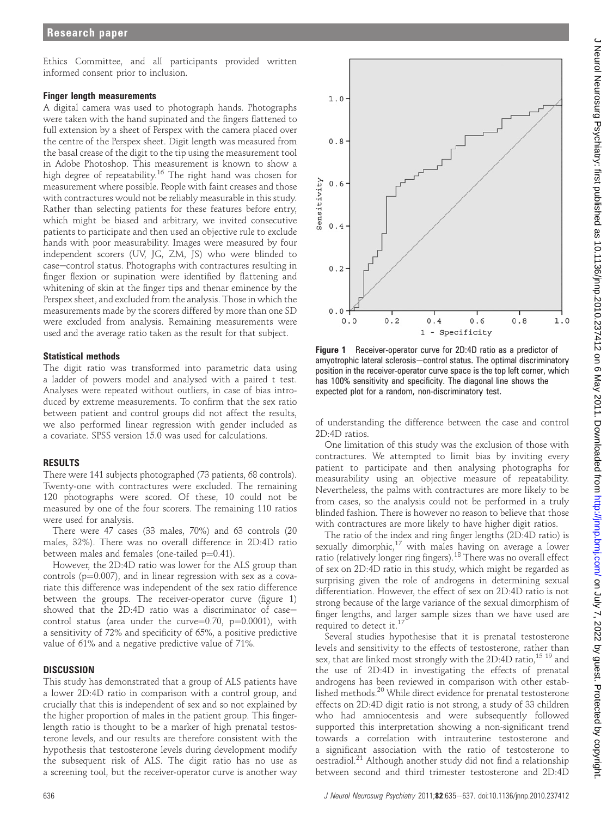Ethics Committee, and all participants provided written informed consent prior to inclusion.

#### Finger length measurements

A digital camera was used to photograph hands. Photographs were taken with the hand supinated and the fingers flattened to full extension by a sheet of Perspex with the camera placed over the centre of the Perspex sheet. Digit length was measured from the basal crease of the digit to the tip using the measurement tool in Adobe Photoshop. This measurement is known to show a high degree of repeatability.<sup>16</sup> The right hand was chosen for measurement where possible. People with faint creases and those with contractures would not be reliably measurable in this study. Rather than selecting patients for these features before entry, which might be biased and arbitrary, we invited consecutive patients to participate and then used an objective rule to exclude hands with poor measurability. Images were measured by four independent scorers (UV, JG, ZM, JS) who were blinded to case-control status. Photographs with contractures resulting in finger flexion or supination were identified by flattening and whitening of skin at the finger tips and thenar eminence by the Perspex sheet, and excluded from the analysis. Those in which the measurements made by the scorers differed by more than one SD were excluded from analysis. Remaining measurements were used and the average ratio taken as the result for that subject.

#### Statistical methods

The digit ratio was transformed into parametric data using a ladder of powers model and analysed with a paired t test. Analyses were repeated without outliers, in case of bias introduced by extreme measurements. To confirm that the sex ratio between patient and control groups did not affect the results, we also performed linear regression with gender included as a covariate. SPSS version 15.0 was used for calculations.

### RESULTS

There were 141 subjects photographed (73 patients, 68 controls). Twenty-one with contractures were excluded. The remaining 120 photographs were scored. Of these, 10 could not be measured by one of the four scorers. The remaining 110 ratios were used for analysis.

There were 47 cases (33 males, 70%) and 63 controls (20 males, 32%). There was no overall difference in 2D:4D ratio between males and females (one-tailed  $p=0.41$ ).

However, the 2D:4D ratio was lower for the ALS group than controls ( $p=0.007$ ), and in linear regression with sex as a covariate this difference was independent of the sex ratio difference between the groups. The receiver-operator curve (figure 1) showed that the 2D:4D ratio was a discriminator of casecontrol status (area under the curve= $0.70$ , p= $0.0001$ ), with a sensitivity of 72% and specificity of 65%, a positive predictive value of 61% and a negative predictive value of 71%.

#### **DISCUSSION**

This study has demonstrated that a group of ALS patients have a lower 2D:4D ratio in comparison with a control group, and crucially that this is independent of sex and so not explained by the higher proportion of males in the patient group. This fingerlength ratio is thought to be a marker of high prenatal testosterone levels, and our results are therefore consistent with the hypothesis that testosterone levels during development modify the subsequent risk of ALS. The digit ratio has no use as a screening tool, but the receiver-operator curve is another way



Figure 1 Receiver-operator curve for 2D:4D ratio as a predictor of amyotrophic lateral sclerosis-control status. The optimal discriminatory position in the receiver-operator curve space is the top left corner, which has 100% sensitivity and specificity. The diagonal line shows the expected plot for a random, non-discriminatory test.

of understanding the difference between the case and control 2D:4D ratios.

One limitation of this study was the exclusion of those with contractures. We attempted to limit bias by inviting every patient to participate and then analysing photographs for measurability using an objective measure of repeatability. Nevertheless, the palms with contractures are more likely to be from cases, so the analysis could not be performed in a truly blinded fashion. There is however no reason to believe that those with contractures are more likely to have higher digit ratios.

The ratio of the index and ring finger lengths (2D:4D ratio) is sexually dimorphic,<sup>17</sup> with males having on average a lower ratio (relatively longer ring fingers).<sup>18</sup> There was no overall effect of sex on 2D:4D ratio in this study, which might be regarded as surprising given the role of androgens in determining sexual differentiation. However, the effect of sex on 2D:4D ratio is not strong because of the large variance of the sexual dimorphism of finger lengths, and larger sample sizes than we have used are required to detect it.<sup>17</sup>

Several studies hypothesise that it is prenatal testosterone levels and sensitivity to the effects of testosterone, rather than sex, that are linked most strongly with the 2D:4D ratio,  $15\frac{19}{19}$  and the use of 2D:4D in investigating the effects of prenatal androgens has been reviewed in comparison with other established methods.20 While direct evidence for prenatal testosterone effects on 2D:4D digit ratio is not strong, a study of 33 children who had amniocentesis and were subsequently followed supported this interpretation showing a non-significant trend towards a correlation with intrauterine testosterone and a significant association with the ratio of testosterone to oestradiol.<sup>21</sup> Although another study did not find a relationship between second and third trimester testosterone and 2D:4D